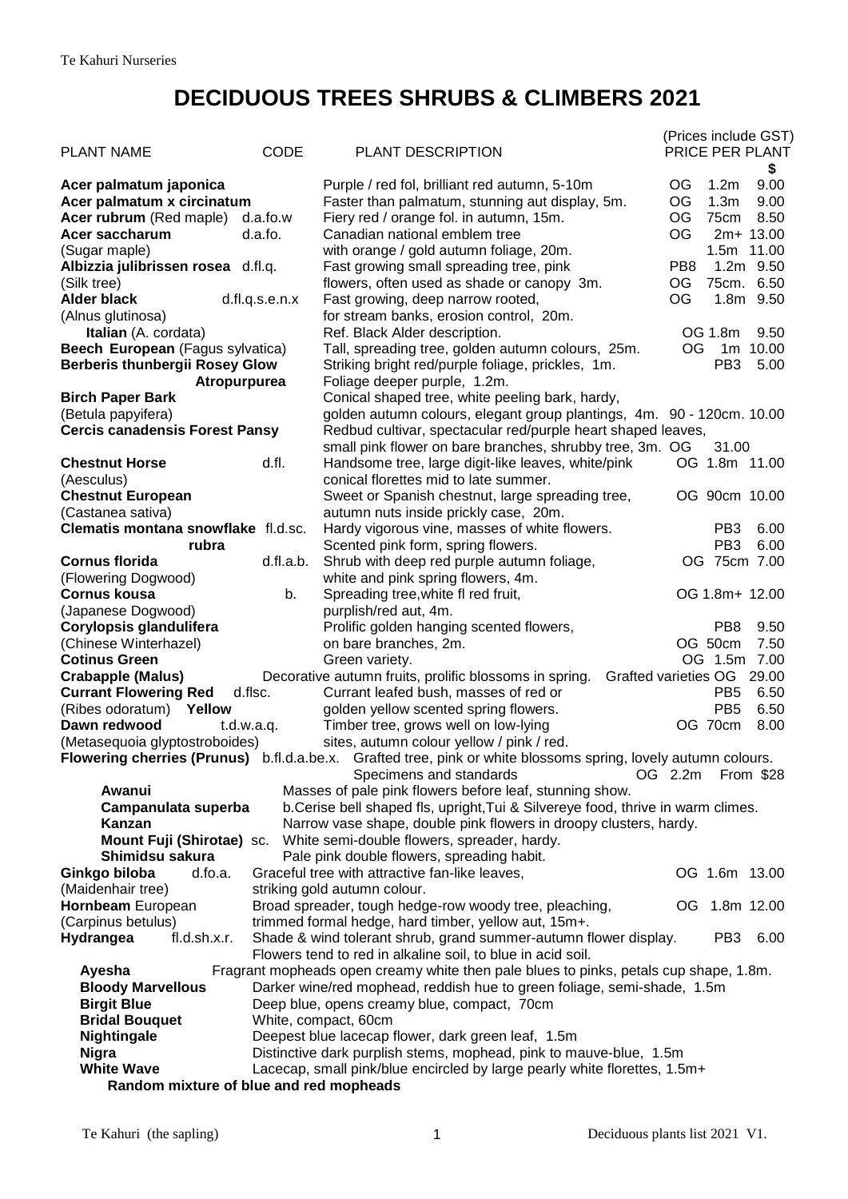## **DECIDUOUS TREES SHRUBS & CLIMBERS 2021**

|                                             |                |                                                                                                                |                 |                  | (Prices include GST)  |
|---------------------------------------------|----------------|----------------------------------------------------------------------------------------------------------------|-----------------|------------------|-----------------------|
| <b>PLANT NAME</b>                           | <b>CODE</b>    | PLANT DESCRIPTION                                                                                              |                 |                  | PRICE PER PLANT<br>\$ |
| Acer palmatum japonica                      |                | Purple / red fol, brilliant red autumn, 5-10m                                                                  | OG.             | 1.2 <sub>m</sub> | 9.00                  |
| Acer palmatum x circinatum                  |                | Faster than palmatum, stunning aut display, 5m.                                                                | OG              | 1.3 <sub>m</sub> | 9.00                  |
| <b>Acer rubrum</b> (Red maple)              | d.a.fo.w       | Fiery red / orange fol. in autumn, 15m.                                                                        | OG              | 75cm             | 8.50                  |
| Acer saccharum                              | d.a.fo.        | Canadian national emblem tree                                                                                  | OG              |                  | 2m+ 13.00             |
| (Sugar maple)                               |                | with orange / gold autumn foliage, 20m.                                                                        |                 | 1.5m 11.00       |                       |
| Albizzia julibrissen rosea d.fl.q.          |                | Fast growing small spreading tree, pink                                                                        | PB <sub>8</sub> |                  | $1.2m$ 9.50           |
| (Silk tree)                                 |                | flowers, often used as shade or canopy 3m.                                                                     | ОG              | 75cm. 6.50       |                       |
| <b>Alder black</b>                          | d.fl.q.s.e.n.x | Fast growing, deep narrow rooted,                                                                              | ОG              |                  | 1.8m 9.50             |
| (Alnus glutinosa)<br>Italian (A. cordata)   |                | for stream banks, erosion control, 20m.<br>Ref. Black Alder description.                                       |                 | OG 1.8m          | 9.50                  |
| Beech European (Fagus sylvatica)            |                | Tall, spreading tree, golden autumn colours, 25m.                                                              |                 | OG 1m 10.00      |                       |
| <b>Berberis thunbergii Rosey Glow</b>       |                | Striking bright red/purple foliage, prickles, 1m.                                                              |                 | PB <sub>3</sub>  | 5.00                  |
| <b>Atropurpurea</b>                         |                | Foliage deeper purple, 1.2m.                                                                                   |                 |                  |                       |
| <b>Birch Paper Bark</b>                     |                | Conical shaped tree, white peeling bark, hardy,                                                                |                 |                  |                       |
| (Betula papyifera)                          |                | golden autumn colours, elegant group plantings, 4m. 90 - 120cm. 10.00                                          |                 |                  |                       |
| <b>Cercis canadensis Forest Pansy</b>       |                | Redbud cultivar, spectacular red/purple heart shaped leaves,                                                   |                 |                  |                       |
|                                             |                | small pink flower on bare branches, shrubby tree, 3m. OG                                                       |                 | 31.00            |                       |
| <b>Chestnut Horse</b>                       | d.fl.          | Handsome tree, large digit-like leaves, white/pink                                                             |                 | OG 1.8m 11.00    |                       |
| (Aesculus)                                  |                | conical florettes mid to late summer.                                                                          |                 |                  |                       |
| <b>Chestnut European</b>                    |                | Sweet or Spanish chestnut, large spreading tree,                                                               |                 | OG 90cm 10.00    |                       |
| (Castanea sativa)                           |                | autumn nuts inside prickly case, 20m.                                                                          |                 |                  |                       |
| Clematis montana snowflake fl.d.sc.         |                | Hardy vigorous vine, masses of white flowers.                                                                  |                 | PB <sub>3</sub>  | 6.00                  |
| rubra                                       |                | Scented pink form, spring flowers.                                                                             |                 | PB <sub>3</sub>  | 6.00                  |
| <b>Cornus florida</b>                       | d.fl.a.b.      | Shrub with deep red purple autumn foliage,                                                                     |                 | OG 75cm 7.00     |                       |
| (Flowering Dogwood)<br><b>Cornus kousa</b>  |                | white and pink spring flowers, 4m.                                                                             |                 | OG 1.8m+ 12.00   |                       |
| (Japanese Dogwood)                          | b.             | Spreading tree, white fl red fruit,<br>purplish/red aut, 4m.                                                   |                 |                  |                       |
| Corylopsis glandulifera                     |                | Prolific golden hanging scented flowers,                                                                       |                 | PB8              | 9.50                  |
| (Chinese Winterhazel)                       |                | on bare branches, 2m.                                                                                          |                 | OG 50cm          | 7.50                  |
| <b>Cotinus Green</b>                        |                | Green variety.                                                                                                 |                 | OG 1.5m 7.00     |                       |
| <b>Crabapple (Malus)</b>                    |                | Decorative autumn fruits, prolific blossoms in spring.<br>Grafted varieties OG 29.00                           |                 |                  |                       |
| <b>Currant Flowering Red</b>                | d.flsc.        | Currant leafed bush, masses of red or                                                                          |                 | PB <sub>5</sub>  | 6.50                  |
| (Ribes odoratum)<br>Yellow                  |                | golden yellow scented spring flowers.                                                                          |                 | PB <sub>5</sub>  | 6.50                  |
| Dawn redwood                                | t.d.w.a.q.     | Timber tree, grows well on low-lying                                                                           |                 | OG 70cm          | 8.00                  |
| (Metasequoia glyptostroboides)              |                | sites, autumn colour yellow / pink / red.                                                                      |                 |                  |                       |
|                                             |                | Flowering cherries (Prunus) b.fl.d.a.be.x. Grafted tree, pink or white blossoms spring, lovely autumn colours. |                 |                  |                       |
|                                             |                | Specimens and standards                                                                                        | OG 2.2m         |                  | From \$28             |
| Awanui                                      |                | Masses of pale pink flowers before leaf, stunning show.                                                        |                 |                  |                       |
| Campanulata superba                         |                | b. Cerise bell shaped fls, upright, Tui & Silvereye food, thrive in warm climes.                               |                 |                  |                       |
| Kanzan                                      |                | Narrow vase shape, double pink flowers in droopy clusters, hardy.                                              |                 |                  |                       |
| Mount Fuji (Shirotae) sc.                   |                | White semi-double flowers, spreader, hardy.                                                                    |                 |                  |                       |
| Shimidsu sakura<br>Ginkgo biloba<br>d.fo.a. |                | Pale pink double flowers, spreading habit.<br>Graceful tree with attractive fan-like leaves,                   |                 | OG 1.6m 13.00    |                       |
| (Maidenhair tree)                           |                | striking gold autumn colour.                                                                                   |                 |                  |                       |
| Hornbeam European                           |                | Broad spreader, tough hedge-row woody tree, pleaching,                                                         |                 | OG 1.8m 12.00    |                       |
| (Carpinus betulus)                          |                | trimmed formal hedge, hard timber, yellow aut, 15m+.                                                           |                 |                  |                       |
| Hydrangea<br>fl.d.sh.x.r.                   |                | Shade & wind tolerant shrub, grand summer-autumn flower display.                                               |                 | PB <sub>3</sub>  | 6.00                  |
|                                             |                | Flowers tend to red in alkaline soil, to blue in acid soil.                                                    |                 |                  |                       |
| Ayesha                                      |                | Fragrant mopheads open creamy white then pale blues to pinks, petals cup shape, 1.8m.                          |                 |                  |                       |
| <b>Bloody Marvellous</b>                    |                | Darker wine/red mophead, reddish hue to green foliage, semi-shade, 1.5m                                        |                 |                  |                       |
| <b>Birgit Blue</b>                          |                | Deep blue, opens creamy blue, compact, 70cm                                                                    |                 |                  |                       |
| <b>Bridal Bouquet</b>                       |                | White, compact, 60cm                                                                                           |                 |                  |                       |
| Nightingale                                 |                | Deepest blue lacecap flower, dark green leaf, 1.5m                                                             |                 |                  |                       |
| <b>Nigra</b>                                |                | Distinctive dark purplish stems, mophead, pink to mauve-blue, 1.5m                                             |                 |                  |                       |
| <b>White Wave</b>                           |                | Lacecap, small pink/blue encircled by large pearly white florettes, 1.5m+                                      |                 |                  |                       |
| Random mixture of blue and red mopheads     |                |                                                                                                                |                 |                  |                       |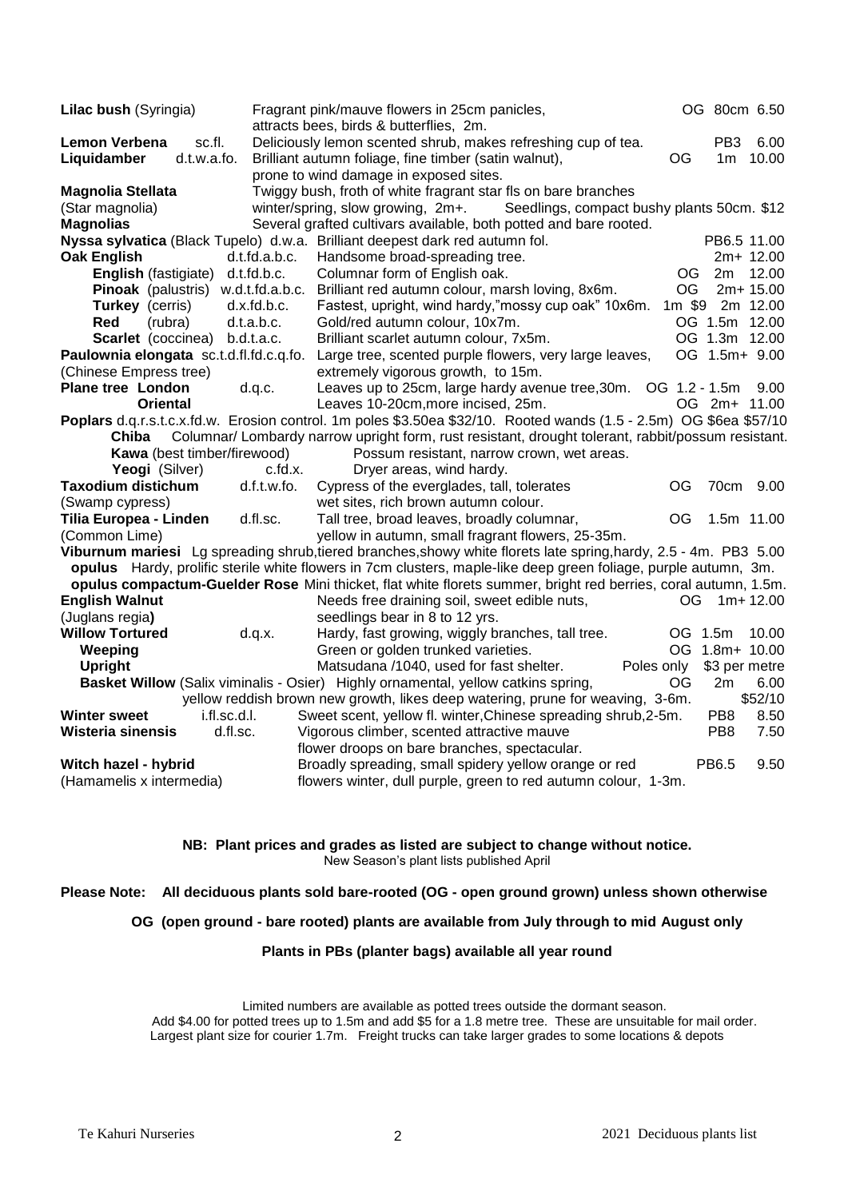| Lilac bush (Syringia)                                                                                       | OG 80cm 6.50<br>Fragrant pink/mauve flowers in 25cm panicles,                                                      |  |  |  |  |
|-------------------------------------------------------------------------------------------------------------|--------------------------------------------------------------------------------------------------------------------|--|--|--|--|
|                                                                                                             | attracts bees, birds & butterflies, 2m.                                                                            |  |  |  |  |
| Lemon Verbena<br>sc.fl.                                                                                     | Deliciously lemon scented shrub, makes refreshing cup of tea.<br>PB <sub>3</sub><br>6.00                           |  |  |  |  |
| Liquidamber<br>d.t.w.a.fo.                                                                                  | Brilliant autumn foliage, fine timber (satin walnut),<br>OG<br>10.00<br>1m                                         |  |  |  |  |
|                                                                                                             | prone to wind damage in exposed sites.                                                                             |  |  |  |  |
| <b>Magnolia Stellata</b>                                                                                    | Twiggy bush, froth of white fragrant star fls on bare branches                                                     |  |  |  |  |
| (Star magnolia)                                                                                             | winter/spring, slow growing, 2m+.<br>Seedlings, compact bushy plants 50cm. \$12                                    |  |  |  |  |
| <b>Magnolias</b>                                                                                            | Several grafted cultivars available, both potted and bare rooted.                                                  |  |  |  |  |
|                                                                                                             | PB6.5 11.00<br>Nyssa sylvatica (Black Tupelo) d.w.a. Brilliant deepest dark red autumn fol.                        |  |  |  |  |
| <b>Oak English</b>                                                                                          | d.t.fd.a.b.c.<br>Handsome broad-spreading tree.<br>2m+ 12.00                                                       |  |  |  |  |
| English (fastigiate) d.t.fd.b.c.                                                                            | <b>OG</b><br>12.00<br>Columnar form of English oak.<br>2m                                                          |  |  |  |  |
| Pinoak (palustris) w.d.t.fd.a.b.c.                                                                          | Brilliant red autumn colour, marsh loving, 8x6m.<br>OG.<br>2m+ 15.00                                               |  |  |  |  |
| <b>Turkey</b> (cerris)                                                                                      | d.x.fd.b.c.<br>Fastest, upright, wind hardy,"mossy cup oak" 10x6m.<br>1m \$9 2m 12.00                              |  |  |  |  |
| Red<br>(rubra)<br>d.t.a.b.c.                                                                                | OG 1.5m 12.00<br>Gold/red autumn colour, 10x7m.                                                                    |  |  |  |  |
| Scarlet (coccinea) b.d.t.a.c.                                                                               | OG 1.3m 12.00<br>Brilliant scarlet autumn colour, 7x5m.                                                            |  |  |  |  |
| Paulownia elongata sc.t.d.fl.fd.c.q.fo.                                                                     | OG 1.5m+ 9.00<br>Large tree, scented purple flowers, very large leaves,                                            |  |  |  |  |
| (Chinese Empress tree)                                                                                      | extremely vigorous growth, to 15m.                                                                                 |  |  |  |  |
| <b>Plane tree London</b><br>d.q.c.                                                                          | Leaves up to 25cm, large hardy avenue tree, 30m. OG 1.2 - 1.5m<br>9.00                                             |  |  |  |  |
| Oriental                                                                                                    | OG 2m+ 11.00<br>Leaves 10-20cm, more incised, 25m.                                                                 |  |  |  |  |
|                                                                                                             | Poplars d.q.r.s.t.c.x.fd.w. Erosion control. 1m poles \$3.50ea \$32/10. Rooted wands (1.5 - 2.5m) OG \$6ea \$57/10 |  |  |  |  |
| Columnar/ Lombardy narrow upright form, rust resistant, drought tolerant, rabbit/possum resistant.<br>Chiba |                                                                                                                    |  |  |  |  |
| Kawa (best timber/firewood)                                                                                 | Possum resistant, narrow crown, wet areas.                                                                         |  |  |  |  |
| Yeogi (Silver)                                                                                              | c.fd.x.<br>Dryer areas, wind hardy.                                                                                |  |  |  |  |
| <b>Taxodium distichum</b>                                                                                   | d.f.t.w.fo.<br>Cypress of the everglades, tall, tolerates<br>OG<br>9.00<br>70cm                                    |  |  |  |  |
| (Swamp cypress)                                                                                             | wet sites, rich brown autumn colour.                                                                               |  |  |  |  |
| Tilia Europea - Linden                                                                                      | d.fl.sc.<br>Tall tree, broad leaves, broadly columnar,<br><b>OG</b><br>1.5m 11.00                                  |  |  |  |  |
| (Common Lime)                                                                                               | yellow in autumn, small fragrant flowers, 25-35m.                                                                  |  |  |  |  |
|                                                                                                             | Viburnum mariesi Lg spreading shrub, tiered branches, showy white florets late spring, hardy, 2.5 - 4m. PB3 5.00   |  |  |  |  |
|                                                                                                             | opulus Hardy, prolific sterile white flowers in 7cm clusters, maple-like deep green foliage, purple autumn, 3m.    |  |  |  |  |
|                                                                                                             | opulus compactum-Guelder Rose Mini thicket, flat white florets summer, bright red berries, coral autumn, 1.5m.     |  |  |  |  |
| <b>English Walnut</b>                                                                                       | Needs free draining soil, sweet edible nuts,<br>$1m+12.00$<br>OG.                                                  |  |  |  |  |
| (Juglans regia)                                                                                             | seedlings bear in 8 to 12 yrs.                                                                                     |  |  |  |  |
| <b>Willow Tortured</b>                                                                                      | d.q.x.<br>Hardy, fast growing, wiggly branches, tall tree.<br>OG 1.5m<br>10.00                                     |  |  |  |  |
| Weeping                                                                                                     | Green or golden trunked varieties.<br>OG 1.8m+ 10.00                                                               |  |  |  |  |
| <b>Upright</b>                                                                                              | Matsudana /1040, used for fast shelter.<br>\$3 per metre<br>Poles only                                             |  |  |  |  |
|                                                                                                             | 6.00<br>Basket Willow (Salix viminalis - Osier) Highly ornamental, yellow catkins spring,<br>OG<br>2m              |  |  |  |  |
|                                                                                                             | \$52/10<br>yellow reddish brown new growth, likes deep watering, prune for weaving, 3-6m.                          |  |  |  |  |
| i.fl.sc.d.l.<br><b>Winter sweet</b>                                                                         | Sweet scent, yellow fl. winter, Chinese spreading shrub, 2-5m.<br>PB <sub>8</sub><br>8.50                          |  |  |  |  |
| <b>Wisteria sinensis</b><br>d.fl.sc.                                                                        | Vigorous climber, scented attractive mauve<br>PB <sub>8</sub><br>7.50                                              |  |  |  |  |
|                                                                                                             | flower droops on bare branches, spectacular.                                                                       |  |  |  |  |
| Witch hazel - hybrid                                                                                        | Broadly spreading, small spidery yellow orange or red<br>PB6.5<br>9.50                                             |  |  |  |  |
| (Hamamelis x intermedia)                                                                                    | flowers winter, dull purple, green to red autumn colour, 1-3m.                                                     |  |  |  |  |

**NB: Plant prices and grades as listed are subject to change without notice.** New Season's plant lists published April

**Please Note: All deciduous plants sold bare-rooted (OG - open ground grown) unless shown otherwise**

**OG (open ground - bare rooted) plants are available from July through to mid August only**

**Plants in PBs (planter bags) available all year round**

Limited numbers are available as potted trees outside the dormant season. Add \$4.00 for potted trees up to 1.5m and add \$5 for a 1.8 metre tree. These are unsuitable for mail order. Largest plant size for courier 1.7m. Freight trucks can take larger grades to some locations & depots